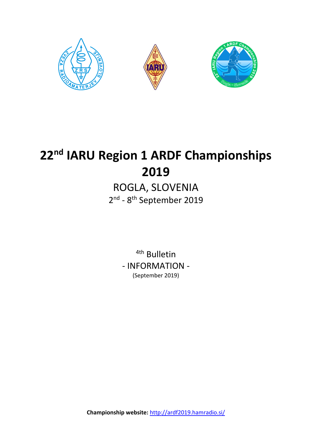

# **22nd IARU Region 1 ARDF Championships 2019**

# ROGLA, SLOVENIA 2<sup>nd</sup> - 8<sup>th</sup> September 2019

<sup>4th</sup> Bulletin - INFORMATION - (September 2019)

**Championship website:** <http://ardf2019.hamradio.si/>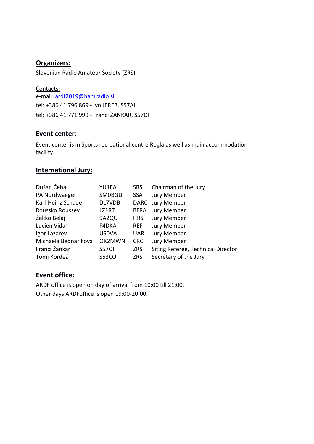# **Organizers:**

Slovenian Radio Amateur Society (ZRS)

Contacts: e-mail: [ardf2019@hamradio.si](mailto:ardf2019@hamradio.si) tel: +386 41 796 869 - Ivo JEREB, S57AL tel: +386 41 771 999 - Franci ŽANKAR, S57CT

### **Event center:**

Event center is in Sports recreational centre Rogla as well as main accommodation facility.

### **International Jury:**

| Dušan Ćeha           | YU1EA         | <b>SRS</b>  | Chairman of the Jury               |
|----------------------|---------------|-------------|------------------------------------|
| PA Nordwaeger        | <b>SMOBGU</b> | <b>SSA</b>  | Jury Member                        |
| Karl-Heinz Schade    | DL7VDB        |             | DARC Jury Member                   |
| Roussko Roussev      | LZ1RT         | <b>BFRA</b> | Jury Member                        |
| Željko Belaj         | 9A2QU         | <b>HRS</b>  | Jury Member                        |
| Lucien Vidal         | F4DKA         | REF         | Jury Member                        |
| Igor Lazarev         | <b>US0VA</b>  | <b>UARL</b> | Jury Member                        |
| Michaela Bednarikova | OK2MWN        | <b>CRC</b>  | Jury Member                        |
| Franci Žankar        | S57CT         | <b>ZRS</b>  | Siting Referee, Technical Director |
| Tomi Kordež          | <b>S53CO</b>  | <b>ZRS</b>  | Secretary of the Jury              |

# **Event office:**

ARDF office is open on day of arrival from 10:00 till 21:00. Other days ARDFoffice is open 19:00-20:00.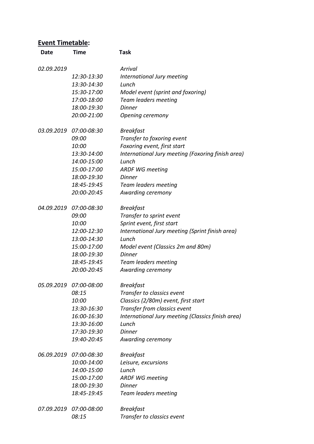# **Event Timetable:**

| Date       | <b>Time</b>            | <b>Task</b>                                       |
|------------|------------------------|---------------------------------------------------|
| 02.09.2019 |                        | Arrival                                           |
|            | 12:30-13:30            | International Jury meeting                        |
|            | 13:30-14:30            | Lunch                                             |
|            | 15:30-17:00            | Model event (sprint and foxoring)                 |
|            | 17:00-18:00            | Team leaders meeting                              |
|            | 18:00-19:30            | Dinner                                            |
|            | 20:00-21:00            | Opening ceremony                                  |
| 03.09.2019 | 07:00-08:30            | <b>Breakfast</b>                                  |
|            | 09:00                  | Transfer to foxoring event                        |
|            | 10:00                  | Foxoring event, first start                       |
|            | 13:30-14:00            | International Jury meeting (Foxoring finish area) |
|            | 14:00-15:00            | Lunch                                             |
|            | 15:00-17:00            | <b>ARDF WG meeting</b>                            |
|            | 18:00-19:30            | Dinner                                            |
|            | 18:45-19:45            | <b>Team leaders meeting</b>                       |
|            | 20:00-20:45            | Awarding ceremony                                 |
| 04.09.2019 | 07:00-08:30            | <b>Breakfast</b>                                  |
|            | 09:00                  | Transfer to sprint event                          |
|            | 10:00                  | Sprint event, first start                         |
|            | 12:00-12:30            | International Jury meeting (Sprint finish area)   |
|            | 13:00-14:30            | Lunch                                             |
|            | 15:00-17:00            | Model event (Classics 2m and 80m)                 |
|            | 18:00-19:30            | <b>Dinner</b>                                     |
|            | 18:45-19:45            | Team leaders meeting                              |
|            | 20:00-20:45            | Awarding ceremony                                 |
|            | 05.09.2019 07:00-08:00 | <b>Breakfast</b>                                  |
|            | 08:15                  | Transfer to classics event                        |
|            | 10:00                  | Classics (2/80m) event, first start               |
|            | 13:30-16:30            | Transfer from classics event                      |
|            | 16:00-16:30            | International Jury meeting (Classics finish area) |
|            | 13:30-16:00            | Lunch                                             |
|            | 17:30-19:30            | <b>Dinner</b>                                     |
|            | 19:40-20:45            | Awarding ceremony                                 |
|            | 06.09.2019 07:00-08:30 | <b>Breakfast</b>                                  |
|            | 10:00-14:00            | Leisure, excursions                               |
|            | 14:00-15:00            | Lunch                                             |
|            | 15:00-17:00            | <b>ARDF WG meeting</b>                            |
|            | 18:00-19:30            | <b>Dinner</b>                                     |
|            | 18:45-19:45            | Team leaders meeting                              |
|            | 07.09.2019 07:00-08:00 | <b>Breakfast</b>                                  |
|            | 08:15                  | Transfer to classics event                        |
|            |                        |                                                   |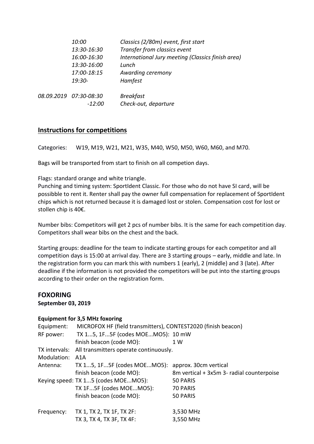| 10:00                    | Classics (2/80m) event, first start               |
|--------------------------|---------------------------------------------------|
| 13:30-16:30              | Transfer from classics event                      |
| 16:00-16:30              | International Jury meeting (Classics finish area) |
| 13:30-16:00              | Lunch                                             |
| 17:00-18:15              | Awarding ceremony                                 |
| $19:30-$                 | Hamfest                                           |
| 08.09.2019   07:30-08:30 | <b>Breakfast</b>                                  |
| -12:00                   | Check-out, departure                              |

#### **Instructions for competitions**

Categories: W19, M19, W21, M21, W35, M40, W50, M50, W60, M60, and M70.

Bags will be transported from start to finish on all competion days.

Flags: standard orange and white triangle.

Punching and timing system: SportIdent Classic. For those who do not have SI card, will be possibble to rent it. Renter shall pay the owner full compensation for replacement of SportIdent chips which is not returned because it is damaged lost or stolen. Compensation cost for lost or stollen chip is 40€.

Number bibs: Competitors will get 2 pcs of number bibs. It is the same for each competition day. Competitors shall wear bibs on the chest and the back.

Starting groups: deadline for the team to indicate starting groups for each competitor and all competition days is 15:00 at arrival day. There are 3 starting groups – early, middle and late. In the registration form you can mark this with numbers 1 (early), 2 (middle) and 3 (late). After deadline if the information is not provided the competitors will be put into the starting groups according to their order on the registration form.

# **FOXORING**

**September 03, 2019**

#### **Equipment for 3,5 MHz foxoring**

| Equipment:    | MICROFOX HF (field transmitters), CONTEST2020 (finish beacon) |                                           |
|---------------|---------------------------------------------------------------|-------------------------------------------|
| RF power:     | TX 15, 1F5F (codes MOEMO5): 10 mW                             |                                           |
|               | finish beacon (code MO):                                      | 1 W                                       |
| TX intervals: | All transmitters operate continuously.                        |                                           |
| Modulation:   | A1A                                                           |                                           |
| Antenna:      | TX 15, 1F5F (codes MOEMO5):                                   | approx. 30cm vertical                     |
|               | finish beacon (code MO):                                      | 8m vertical + 3x5m 3- radial counterpoise |
|               | Keying speed: TX 15 (codes MOEMO5):                           | 50 PARIS                                  |
|               | TX 1F5F (codes MOEMO5):                                       | 70 PARIS                                  |
|               | finish beacon (code MO):                                      | 50 PARIS                                  |
| Frequency:    | TX 1, TX 2, TX 1F, TX 2F:                                     | 3,530 MHz                                 |
|               | TX 3, TX 4, TX 3F, TX 4F:                                     | 3,550 MHz                                 |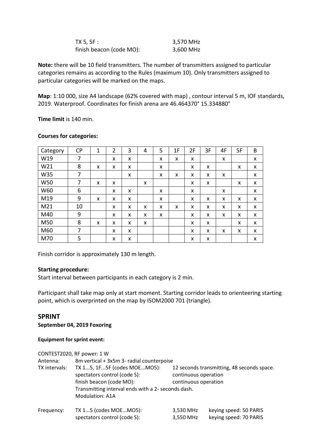| TX 5, 5F :               | 3,570 MHz |
|--------------------------|-----------|
| finish beacon (code MO): | 3,600 MHz |

**Note:** there will be 10 field transmitters. The number of transmitters assigned to particular categories remains as according to the Rules (maximum 10). Only transmitters assigned to particular categories will be marked on the maps.

**Map**: 1:10 000, size A4 landscape (62% covered with map) , contour interval 5 m, IOF standards, 2019. Waterproof. Coordinates for finish arena are 46.464370° 15.334880°

**Time limit** is 140 min.

| Category | <b>CP</b> | $\mathbf{1}$ | $\overline{2}$ | 3 | 4 | 5 | 1F | 2F | 3F | 4F | 5F | B |
|----------|-----------|--------------|----------------|---|---|---|----|----|----|----|----|---|
| W19      | 7         |              | X              | X |   | X | x  | X  |    | X  |    | X |
| W21      | 8         | x            | x              | X |   | X |    | X  | X  |    | X  | x |
| W35      | 7         |              |                | X |   | X | x  | X  | X  | X  |    | X |
| W50      | 7         | x            | x              |   | X |   |    | X  | X  |    | x  | X |
| W60      | 6         |              | x              | X |   | X |    | X  |    | X  |    | X |
| M19      | 9         | x            | x              | X |   | x |    | x  | X  | X  | X  | X |
| M21      | 10        |              | x              | X | x | x | x  | x  | X  | X  | x  | X |
| M40      | 9         |              | x              | X | X | X |    | X  | X  | X  | X  | X |
| M50      | 8         | X            | x              | X | X |   |    | X  | X  |    | X  | X |
| M60      | 7         |              | x              | X |   |   |    | X  | X  | X  | X  | X |
| M70      | 5         |              | x              | X |   |   |    | x  | X  |    |    | x |

#### **Courses for categories:**

Finish corridor is approximately 130 m length.

#### **Starting procedure:**

Start interval between participants in each category is 2 min.

Participant shall take map only at start moment. Starting corridor leads to orienteering starting point, which is overprinted on the map by ISOM2000 701 (triangle).

#### **SPRINT**

**September 04, 2019 Foxoring**

#### **Equipment for sprint event:**

|               | CONTEST2020, RF power: 1 W                                                                                                                                              |                                              |                                                  |  |  |  |  |  |
|---------------|-------------------------------------------------------------------------------------------------------------------------------------------------------------------------|----------------------------------------------|--------------------------------------------------|--|--|--|--|--|
| Antenna:      | 8m vertical + 3x5m 3- radial counterpoise                                                                                                                               |                                              |                                                  |  |  |  |  |  |
| TX intervals: | TX 15, 1F5F (codes MOEMO5):<br>spectators control (code S):<br>finish beacon (code MO):<br>Transmitting interval ends with a 2- seconds dash.<br><b>Modulation: A1A</b> | continuous operation<br>continuous operation | 12 seconds transmitting, 48 seconds space.       |  |  |  |  |  |
| Frequency:    | TX 15 (codes MOEMO5):<br>spectators control (code S):                                                                                                                   | 3,530 MHz<br>3,550 MHz                       | keying speed: 50 PARIS<br>keying speed: 70 PARIS |  |  |  |  |  |
|               |                                                                                                                                                                         |                                              |                                                  |  |  |  |  |  |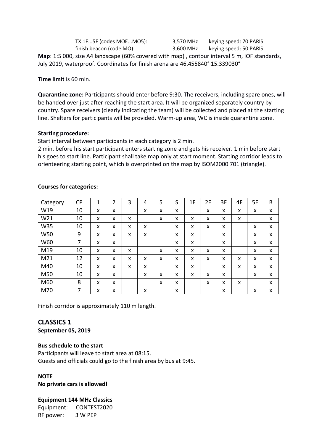TX 1F...5F (codes MOE...MO5): 3,570 MHz keying speed: 70 PARIS finish beacon (code MO): 3,600 MHz keying speed: 50 PARIS **Map**: 1:5 000, size A4 landscape (60% covered with map) , contour interval 5 m, IOF standards, July 2019, waterproof. Coordinates for finish arena are 46.455840° 15.339030°

**Time limit** is 60 min.

**Quarantine zone:** Participants should enter before 9:30. The receivers, including spare ones, will be handed over just after reaching the start area. It will be organized separately country by country. Spare receivers (clearly indicating the team) will be collected and placed at the starting line. Shelters for participants will be provided. Warm-up area, WC is inside quarantine zone.

#### **Starting procedure:**

Start interval between participants in each category is 2 min.

2 min. before his start participant enters starting zone and gets his receiver. 1 min before start his goes to start line. Participant shall take map only at start moment. Starting corridor leads to orienteering starting point, which is overprinted on the map by ISOM2000 701 (triangle).

| Category | <b>CP</b> | 1 | $\overline{2}$ | 3 | 4 | 5 | S | 1F | 2F | 3F | 4F | 5F | B |
|----------|-----------|---|----------------|---|---|---|---|----|----|----|----|----|---|
| W19      | 10        | X | X              |   | X | X | X |    | X  | X  | X  | X  | X |
| W21      | 10        | X | X              | X |   | X | X | X  | X  | X  | X  |    | X |
| W35      | 10        | X | X              | X | x |   | X | X  | X  | X  |    | X  | X |
| W50      | 9         | X | X              | X | X |   | X | X  |    | X  |    | X  | X |
| W60      | 7         | X | X              |   |   |   | X | X  |    | X  |    | X  | X |
| M19      | 10        | X | X              | X |   | X | X | X  | X  | X  |    | X  | X |
| M21      | 12        | X | X              | X | x | X | X | X  | X  | X  | X  | X  | X |
| M40      | 10        | X | X              | X | x |   | X | X  |    | X  | X  | X  | X |
| M50      | 10        | X | X              |   | X | X | X | X  | X  | X  |    | X  | X |
| M60      | 8         | X | X              |   |   | X | X |    | X  | X  | X  |    | X |
| M70      | 7         | x | x              |   | X |   | X |    |    | x  |    | X  | X |

#### **Courses for categories:**

Finish corridor is approximately 110 m length.

# **CLASSICS 1**

**September 05, 2019**

#### **Bus schedule to the start**

Participants will leave to start area at 08:15. Guests and officials could go to the finish area by bus at 9:45.

#### **NOTE**

**No private cars is allowed!** 

#### **Equipment 144 MHz Classics**

Equipment: CONTEST2020 RF power: 3 W PEP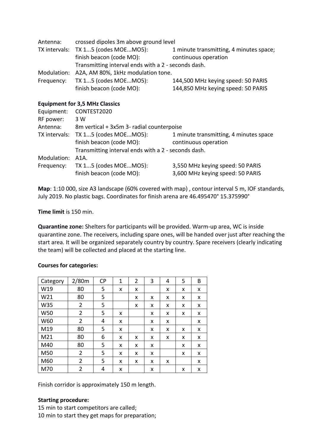| Antenna:   | crossed dipoles 3m above ground level               |                                         |  |  |  |  |  |
|------------|-----------------------------------------------------|-----------------------------------------|--|--|--|--|--|
|            | TX intervals: TX 15 (codes MOEMO5):                 | 1 minute transmitting, 4 minutes space; |  |  |  |  |  |
|            | finish beacon (code MO):                            | continuous operation                    |  |  |  |  |  |
|            | Transmitting interval ends with a 2 - seconds dash. |                                         |  |  |  |  |  |
|            | Modulation: A2A, AM 80%, 1kHz modulation tone.      |                                         |  |  |  |  |  |
| Frequency: | TX 15 (codes MOEMO5):                               | 144,500 MHz keying speed: 50 PARIS      |  |  |  |  |  |
|            | finish beacon (code MO):                            | 144,850 MHz keying speed: 50 PARIS      |  |  |  |  |  |
|            |                                                     |                                         |  |  |  |  |  |

#### **Equipment for 3,5 MHz Classics**

| Equipment:  | CONTEST2020                                                                                                            |                                                                      |
|-------------|------------------------------------------------------------------------------------------------------------------------|----------------------------------------------------------------------|
| RF power:   | 3 W                                                                                                                    |                                                                      |
| Antenna:    | 8m vertical + 3x5m 3- radial counterpoise                                                                              |                                                                      |
|             | TX intervals: TX 15 (codes MOEMO5):<br>finish beacon (code MO):<br>Transmitting interval ends with a 2 - seconds dash. | 1 minute transmitting, 4 minutes space<br>continuous operation       |
| Modulation: | $A1A$ .                                                                                                                |                                                                      |
| Frequency:  | TX 15 (codes MOEMO5):<br>finish beacon (code MO):                                                                      | 3,550 MHz keying speed: 50 PARIS<br>3,600 MHz keying speed: 50 PARIS |

**Map**: 1:10 000, size A3 landscape (60% covered with map) , contour interval 5 m, IOF standards, July 2019. No plastic bags. Coordinates for finish arena are 46.495470° 15.375990°

#### **Time limit** is 150 min.

**Quarantine zone:** Shelters for participants will be provided. Warm-up area, WC is inside quarantine zone. The receivers, including spare ones, will be handed over just after reaching the start area. It will be organized separately country by country. Spare receivers (clearly indicating the team) will be collected and placed at the starting line.

| Category        | 2/80m | <b>CP</b> | 1 | $\overline{2}$ | 3 | 4 | 5 | B |
|-----------------|-------|-----------|---|----------------|---|---|---|---|
| W19             | 80    | 5         | X | x              |   | x | x | X |
| W21             | 80    | 5         |   | X              | x | X | x | X |
| W35             | 2     | 5         |   | X              | x | x | x | X |
| W50             | 2     | 5         | X |                | x | X | x | X |
| W60             | 2     | 4         | X |                | x | X |   | x |
| M19             | 80    | 5         | x |                | x | x | x | x |
| M <sub>21</sub> | 80    | 6         | x | x              | x | x | x | x |
| M40             | 80    | 5         | x | x              | x |   | x | X |
| M50             | 2     | 5         | x | x              | x |   | x | X |
| M60             | 2     | 5         | x | x              | x | x |   | x |
| M70             | 2     | 4         | x |                | x |   | x | x |

#### **Courses for categories:**

Finish corridor is approximately 150 m length.

#### **Starting procedure:**

15 min to start competitors are called; 10 min to start they get maps for preparation;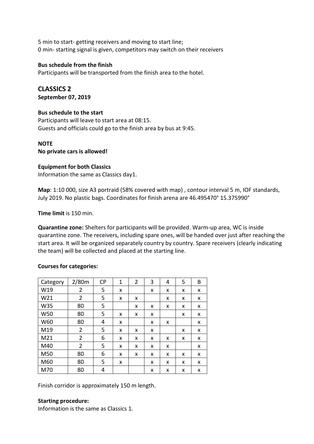5 min to start- getting receivers and moving to start line; 0 min- starting signal is given, competitors may switch on their receivers

#### **Bus schedule from the finish**

Participants will be transported from the finish area to the hotel.

**CLASSICS 2 September 07, 2019**

#### **Bus schedule to the start**

Participants will leave to start area at 08:15. Guests and officials could go to the finish area by bus at 9:45.

#### **NOTE**

**No private cars is allowed!** 

#### **Equipment for both Classics**

Information the same as Classics day1.

**Map**: 1:10 000, size A3 portraid (58% covered with map) , contour interval 5 m, IOF standards, July 2019. No plastic bags. Coordinates for finish arena are 46.495470° 15.375990°

**Time limit** is 150 min.

**Quarantine zone:** Shelters for participants will be provided. Warm-up area, WC is inside quarantine zone. The receivers, including spare ones, will be handed over just after reaching the start area. It will be organized separately country by country. Spare receivers (clearly indicating the team) will be collected and placed at the starting line.

#### **Courses for categories:**

| Category        | 2/80m          | <b>CP</b> | 1 | $\overline{2}$ | 3 | 4 | 5 | B |
|-----------------|----------------|-----------|---|----------------|---|---|---|---|
| W19             | $\overline{2}$ | 5         | X |                | x | X | x | X |
| W <sub>21</sub> | $\overline{2}$ | 5         | x | x              |   | x | x | x |
| W35             | 80             | 5         |   | x              | x | x | x | x |
| W50             | 80             | 5         | X | X              | x |   | x | x |
| W60             | 80             | 4         | X |                | x | x |   | x |
| M19             | 2              | 5         | x | x              | x |   | x | x |
| M <sub>21</sub> | 2              | 6         | x | x              | x | x | x | x |
| M40             | $\overline{2}$ | 5         | x | x              | x | x |   | x |
| M50             | 80             | 6         | X | x              | x | x | x | X |
| M60             | 80             | 5         | X |                | x | X | x | x |
| M70             | 80             | 4         |   |                | x | x | x | x |

Finish corridor is approximately 150 m length.

#### **Starting procedure:**

Information is the same as Classics 1.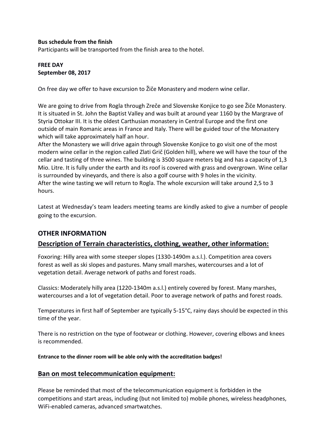#### **Bus schedule from the finish**

Participants will be transported from the finish area to the hotel.

#### **FREE DAY September 08, 2017**

On free day we offer to have excursion to Žiče Monastery and modern wine cellar.

We are going to drive from Rogla through Zreče and Slovenske Konjice to go see Žiče Monastery. It is situated in St. John the Baptist Valley and was built at around year 1160 by the Margrave of Styria Ottokar III. It is the oldest Carthusian monastery in Central Europe and the first one outside of main Romanic areas in France and Italy. There will be guided tour of the Monastery which will take approximately half an hour.

After the Monastery we will drive again through Slovenske Konjice to go visit one of the most modern wine cellar in the region called Zlati Grič (Golden hill), where we will have the tour of the cellar and tasting of three wines. The building is 3500 square meters big and has a capacity of 1,3 Mio. Litre. It is fully under the earth and its roof is covered with grass and overgrown. Wine cellar is surrounded by vineyards, and there is also a golf course with 9 holes in the vicinity. After the wine tasting we will return to Rogla. The whole excursion will take around 2,5 to 3 hours.

Latest at Wednesday's team leaders meeting teams are kindly asked to give a number of people going to the excursion.

# **OTHER INFORMATION**

#### **Description of Terrain characteristics, clothing, weather, other information:**

Foxoring: Hilly area with some steeper slopes (1330-1490m a.s.l.). Competition area covers forest as well as ski slopes and pastures. Many small marshes, watercourses and a lot of vegetation detail. Average network of paths and forest roads.

Classics: Moderately hilly area (1220-1340m a.s.l.) entirely covered by forest. Many marshes, watercourses and a lot of vegetation detail. Poor to average network of paths and forest roads.

Temperatures in first half of September are typically 5-15°C, rainy days should be expected in this time of the year.

There is no restriction on the type of footwear or clothing. However, covering elbows and knees is recommended.

**Entrance to the dinner room will be able only with the accreditation badges!**

#### **Ban on most telecommunication equipment:**

Please be reminded that most of the telecommunication equipment is forbidden in the competitions and start areas, including (but not limited to) mobile phones, wireless headphones, WiFi-enabled cameras, advanced smartwatches.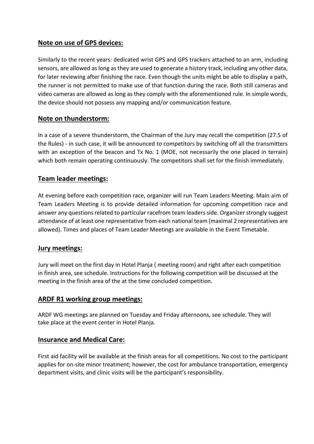# **Note on use of GPS devices:**

Similarly to the recent years: dedicated wrist GPS and GPS trackers attached to an arm, including sensors, are allowed as long as they are used to generate a history track, including any other data, for later reviewing after finishing the race. Even though the units might be able to display a path, the runner is not permitted to make use of that function during the race. Both still cameras and video cameras are allowed as long as they comply with the aforementioned rule. In simple words, the device should not possess any mapping and/or communication feature.

#### **Note on thunderstorm:**

In a case of a severe thunderstorm, the Chairman of the Jury may recall the competition (27.5 of the Rules) - in such case, it will be announced to competitors by switching off all the transmitters with an exception of the beacon and Tx No. 1 (MOE, not necessarily the one placed in terrain) which both remain operating continuously. The competitors shall set for the finish immediately.

#### **Team leader meetings:**

At evening before each competition race, organizer will run Team Leaders Meeting. Main aim of Team Leaders Meeting is to provide detailed information for upcoming competition race and answer any questions related to particular racefrom team leaders side. Organizer strongly suggest attendance of at least one representative from each national team (maximal 2 representatives are allowed). Times and places of Team Leader Meetings are available in the Event Timetable.

#### **Jury meetings:**

Jury will meet on the first day in Hotel Planja ( meeting room) and right after each competition in finish area, see schedule. Instructions for the following competition will be discussed at the meeting in the finish area of the at the time concluded competition.

#### **ARDF R1 working group meetings:**

ARDF WG meetings are planned on Tuesday and Friday afternoons, see schedule. They will take place at the event center in Hotel Planja.

#### **Insurance and Medical Care:**

First aid facility will be available at the finish areas for all competitions. No cost to the participant applies for on-site minor treatment; however, the cost for ambulance transportation, emergency department visits, and clinic visits will be the participant's responsibility.